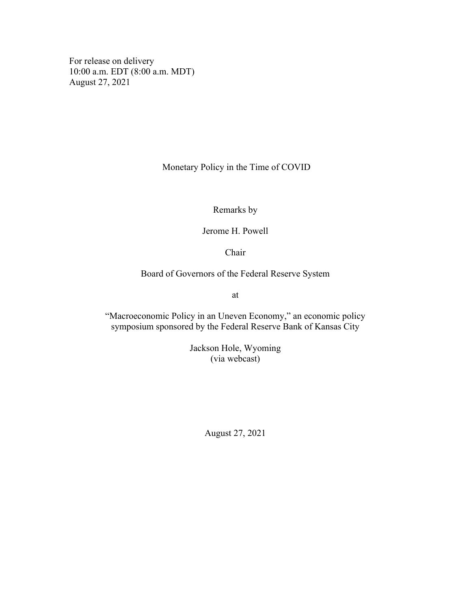For release on delivery 10:00 a.m. EDT (8:00 a.m. MDT) August 27, 2021

Monetary Policy in the Time of COVID

Remarks by

Jerome H. Powell

Chair

Board of Governors of the Federal Reserve System

at

"Macroeconomic Policy in an Uneven Economy," an economic policy symposium sponsored by the Federal Reserve Bank of Kansas City

> Jackson Hole, Wyoming (via webcast)

> > August 27, 2021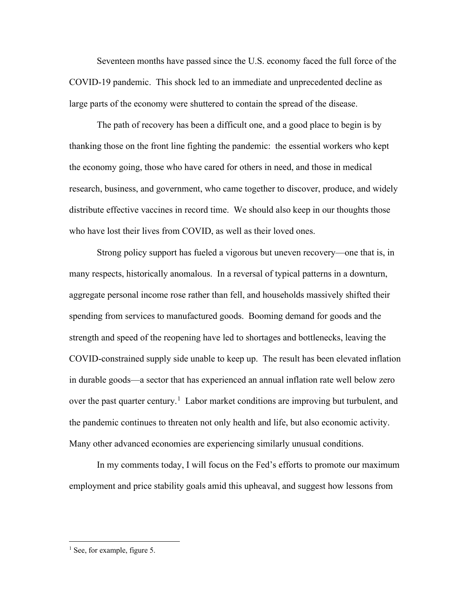Seventeen months have passed since the U.S. economy faced the full force of the COVID-19 pandemic. This shock led to an immediate and unprecedented decline as large parts of the economy were shuttered to contain the spread of the disease.

The path of recovery has been a difficult one, and a good place to begin is by thanking those on the front line fighting the pandemic: the essential workers who kept the economy going, those who have cared for others in need, and those in medical research, business, and government, who came together to discover, produce, and widely distribute effective vaccines in record time. We should also keep in our thoughts those who have lost their lives from COVID, as well as their loved ones.

Strong policy support has fueled a vigorous but uneven recovery—one that is, in many respects, historically anomalous. In a reversal of typical patterns in a downturn, aggregate personal income rose rather than fell, and households massively shifted their spending from services to manufactured goods. Booming demand for goods and the strength and speed of the reopening have led to shortages and bottlenecks, leaving the COVID-constrained supply side unable to keep up. The result has been elevated inflation in durable goods—a sector that has experienced an annual inflation rate well below zero over the past quarter century.<sup>[1](#page-1-0)</sup> Labor market conditions are improving but turbulent, and the pandemic continues to threaten not only health and life, but also economic activity. Many other advanced economies are experiencing similarly unusual conditions.

In my comments today, I will focus on the Fed's efforts to promote our maximum employment and price stability goals amid this upheaval, and suggest how lessons from

<span id="page-1-0"></span><sup>&</sup>lt;sup>1</sup> See, for example, figure 5.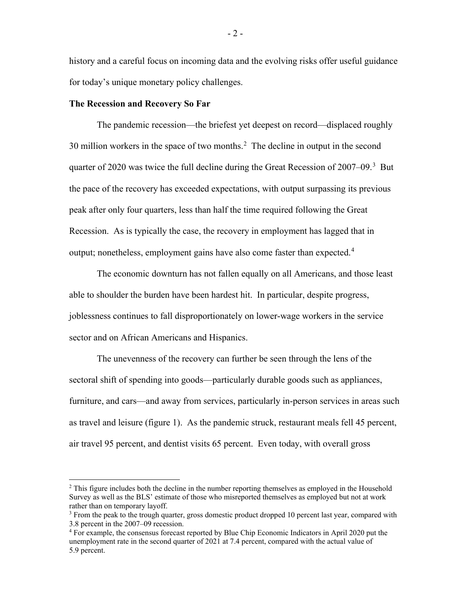history and a careful focus on incoming data and the evolving risks offer useful guidance for today's unique monetary policy challenges.

### **The Recession and Recovery So Far**

The pandemic recession—the briefest yet deepest on record—displaced roughly 30 million workers in the space of two months. $2$  The decline in output in the second quarter of 2020 was twice the full decline during the Great Recession of  $2007-09$ .<sup>[3](#page-2-1)</sup> But the pace of the recovery has exceeded expectations, with output surpassing its previous peak after only four quarters, less than half the time required following the Great Recession. As is typically the case, the recovery in employment has lagged that in output; nonetheless, employment gains have also come faster than expected.<sup>[4](#page-2-2)</sup>

The economic downturn has not fallen equally on all Americans, and those least able to shoulder the burden have been hardest hit. In particular, despite progress, joblessness continues to fall disproportionately on lower-wage workers in the service sector and on African Americans and Hispanics.

The unevenness of the recovery can further be seen through the lens of the sectoral shift of spending into goods—particularly durable goods such as appliances, furniture, and cars—and away from services, particularly in-person services in areas such as travel and leisure (figure 1). As the pandemic struck, restaurant meals fell 45 percent, air travel 95 percent, and dentist visits 65 percent. Even today, with overall gross

<span id="page-2-0"></span> $<sup>2</sup>$  This figure includes both the decline in the number reporting themselves as employed in the Household</sup> Survey as well as the BLS' estimate of those who misreported themselves as employed but not at work rather than on temporary layoff.

<span id="page-2-1"></span> $3$  From the peak to the trough quarter, gross domestic product dropped 10 percent last year, compared with 3.8 percent in the 2007–09 recession.

<span id="page-2-2"></span><sup>4</sup> For example, the consensus forecast reported by Blue Chip Economic Indicators in April 2020 put the unemployment rate in the second quarter of 2021 at 7.4 percent, compared with the actual value of 5.9 percent.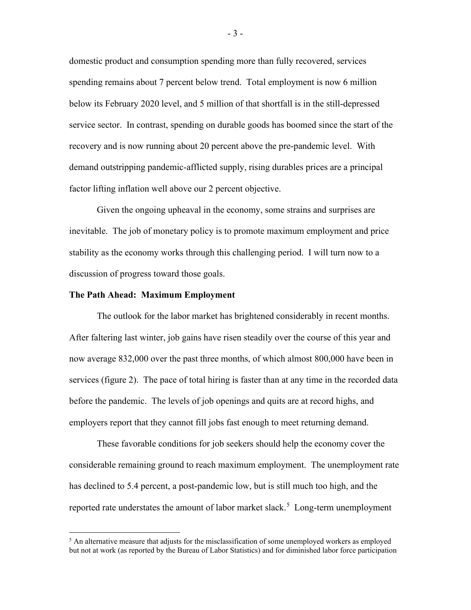domestic product and consumption spending more than fully recovered, services spending remains about 7 percent below trend. Total employment is now 6 million below its February 2020 level, and 5 million of that shortfall is in the still-depressed service sector. In contrast, spending on durable goods has boomed since the start of the recovery and is now running about 20 percent above the pre-pandemic level. With demand outstripping pandemic-afflicted supply, rising durables prices are a principal factor lifting inflation well above our 2 percent objective.

Given the ongoing upheaval in the economy, some strains and surprises are inevitable. The job of monetary policy is to promote maximum employment and price stability as the economy works through this challenging period. I will turn now to a discussion of progress toward those goals.

#### **The Path Ahead: Maximum Employment**

The outlook for the labor market has brightened considerably in recent months. After faltering last winter, job gains have risen steadily over the course of this year and now average 832,000 over the past three months, of which almost 800,000 have been in services (figure 2). The pace of total hiring is faster than at any time in the recorded data before the pandemic. The levels of job openings and quits are at record highs, and employers report that they cannot fill jobs fast enough to meet returning demand.

These favorable conditions for job seekers should help the economy cover the considerable remaining ground to reach maximum employment. The unemployment rate has declined to 5.4 percent, a post-pandemic low, but is still much too high, and the reported rate understates the amount of labor market slack.<sup>[5](#page-3-0)</sup> Long-term unemployment

- 3 -

<span id="page-3-0"></span> $<sup>5</sup>$  An alternative measure that adjusts for the misclassification of some unemployed workers as employed</sup> but not at work (as reported by the Bureau of Labor Statistics) and for diminished labor force participation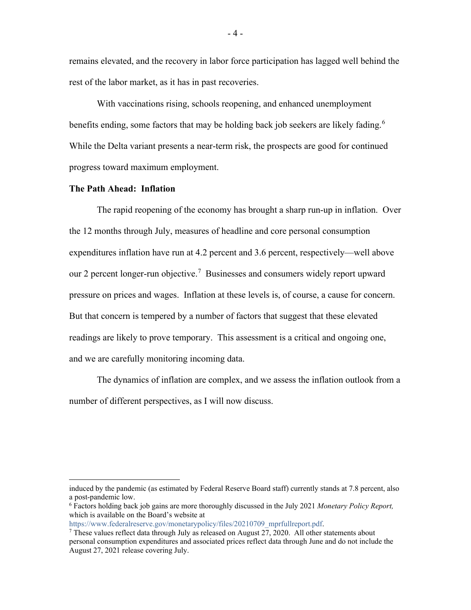remains elevated, and the recovery in labor force participation has lagged well behind the rest of the labor market, as it has in past recoveries.

With vaccinations rising, schools reopening, and enhanced unemployment benefits ending, some factors that may be holding back job seekers are likely fading.<sup>[6](#page-4-0)</sup> While the Delta variant presents a near-term risk, the prospects are good for continued progress toward maximum employment.

### **The Path Ahead: Inflation**

The rapid reopening of the economy has brought a sharp run-up in inflation. Over the 12 months through July, measures of headline and core personal consumption expenditures inflation have run at 4.2 percent and 3.6 percent, respectively—well above our 2 percent longer-run objective.<sup>[7](#page-4-1)</sup> Businesses and consumers widely report upward pressure on prices and wages. Inflation at these levels is, of course, a cause for concern. But that concern is tempered by a number of factors that suggest that these elevated readings are likely to prove temporary. This assessment is a critical and ongoing one, and we are carefully monitoring incoming data.

The dynamics of inflation are complex, and we assess the inflation outlook from a number of different perspectives, as I will now discuss.

induced by the pandemic (as estimated by Federal Reserve Board staff) currently stands at 7.8 percent, also a post-pandemic low.

<span id="page-4-0"></span><sup>6</sup> Factors holding back job gains are more thoroughly discussed in the July 2021 *Monetary Policy Report,* which is available on the Board's website at

[https://www.federalreserve.gov/monetarypolicy/files/20210709\\_mprfullreport.pdf.](https://www.federalreserve.gov/monetarypolicy/files/20210709_mprfullreport.pdf)

<span id="page-4-1"></span><sup>&</sup>lt;sup>7</sup> These values reflect data through July as released on August  $27, 2020$ . All other statements about personal consumption expenditures and associated prices reflect data through June and do not include the August 27, 2021 release covering July.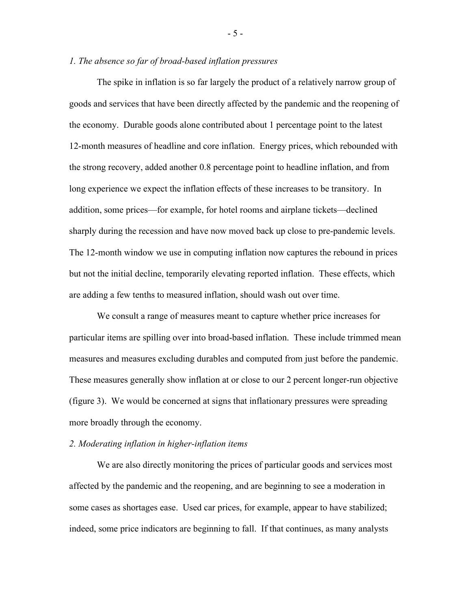### *1. The absence so far of broad-based inflation pressures*

The spike in inflation is so far largely the product of a relatively narrow group of goods and services that have been directly affected by the pandemic and the reopening of the economy. Durable goods alone contributed about 1 percentage point to the latest 12-month measures of headline and core inflation. Energy prices, which rebounded with the strong recovery, added another 0.8 percentage point to headline inflation, and from long experience we expect the inflation effects of these increases to be transitory. In addition, some prices—for example, for hotel rooms and airplane tickets—declined sharply during the recession and have now moved back up close to pre-pandemic levels. The 12-month window we use in computing inflation now captures the rebound in prices but not the initial decline, temporarily elevating reported inflation. These effects, which are adding a few tenths to measured inflation, should wash out over time.

We consult a range of measures meant to capture whether price increases for particular items are spilling over into broad-based inflation. These include trimmed mean measures and measures excluding durables and computed from just before the pandemic. These measures generally show inflation at or close to our 2 percent longer-run objective (figure 3). We would be concerned at signs that inflationary pressures were spreading more broadly through the economy.

#### *2. Moderating inflation in higher-inflation items*

We are also directly monitoring the prices of particular goods and services most affected by the pandemic and the reopening, and are beginning to see a moderation in some cases as shortages ease. Used car prices, for example, appear to have stabilized; indeed, some price indicators are beginning to fall. If that continues, as many analysts

- 5 -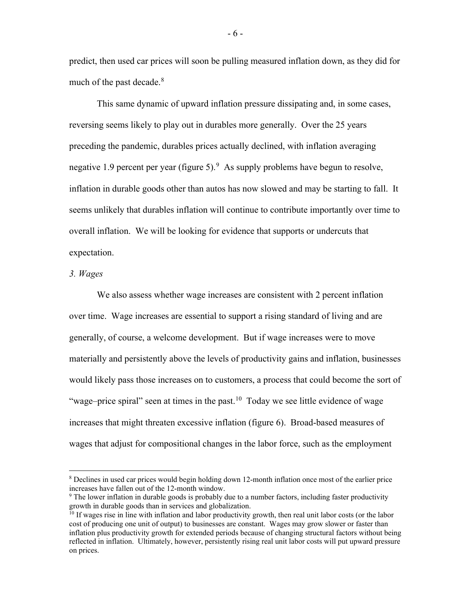predict, then used car prices will soon be pulling measured inflation down, as they did for much of the past decade. $8$ 

This same dynamic of upward inflation pressure dissipating and, in some cases, reversing seems likely to play out in durables more generally. Over the 25 years preceding the pandemic, durables prices actually declined, with inflation averaging negative 1.[9](#page-6-1) percent per year (figure 5).  $9$  As supply problems have begun to resolve, inflation in durable goods other than autos has now slowed and may be starting to fall. It seems unlikely that durables inflation will continue to contribute importantly over time to overall inflation. We will be looking for evidence that supports or undercuts that expectation.

### *3. Wages*

We also assess whether wage increases are consistent with 2 percent inflation over time. Wage increases are essential to support a rising standard of living and are generally, of course, a welcome development. But if wage increases were to move materially and persistently above the levels of productivity gains and inflation, businesses would likely pass those increases on to customers, a process that could become the sort of "wage–price spiral" seen at times in the past. $10$  Today we see little evidence of wage increases that might threaten excessive inflation (figure 6). Broad-based measures of wages that adjust for compositional changes in the labor force, such as the employment

<span id="page-6-0"></span><sup>8</sup> Declines in used car prices would begin holding down 12-month inflation once most of the earlier price increases have fallen out of the 12-month window.

<span id="page-6-1"></span><sup>&</sup>lt;sup>9</sup> The lower inflation in durable goods is probably due to a number factors, including faster productivity growth in durable goods than in services and globalization.

<span id="page-6-2"></span> $10$  If wages rise in line with inflation and labor productivity growth, then real unit labor costs (or the labor cost of producing one unit of output) to businesses are constant. Wages may grow slower or faster than inflation plus productivity growth for extended periods because of changing structural factors without being reflected in inflation. Ultimately, however, persistently rising real unit labor costs will put upward pressure on prices.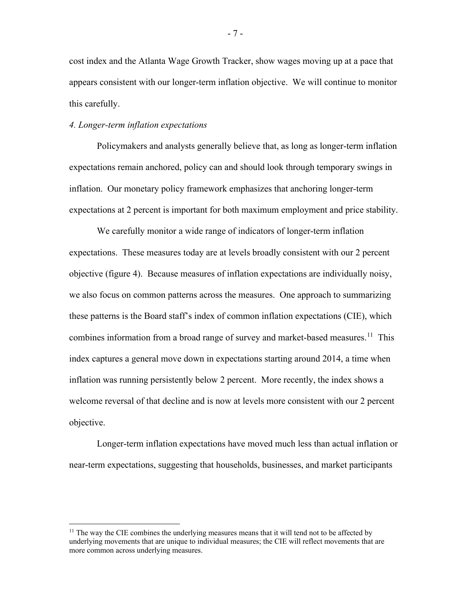cost index and the Atlanta Wage Growth Tracker, show wages moving up at a pace that appears consistent with our longer-term inflation objective. We will continue to monitor this carefully.

### *4. Longer-term inflation expectations*

Policymakers and analysts generally believe that, as long as longer-term inflation expectations remain anchored, policy can and should look through temporary swings in inflation. Our monetary policy framework emphasizes that anchoring longer-term expectations at 2 percent is important for both maximum employment and price stability.

We carefully monitor a wide range of indicators of longer-term inflation expectations. These measures today are at levels broadly consistent with our 2 percent objective (figure 4). Because measures of inflation expectations are individually noisy, we also focus on common patterns across the measures. One approach to summarizing these patterns is the Board staff's index of common inflation expectations (CIE), which combines information from a broad range of survey and market-based measures.<sup>[11](#page-7-0)</sup> This index captures a general move down in expectations starting around 2014, a time when inflation was running persistently below 2 percent. More recently, the index shows a welcome reversal of that decline and is now at levels more consistent with our 2 percent objective.

Longer-term inflation expectations have moved much less than actual inflation or near-term expectations, suggesting that households, businesses, and market participants

- 7 -

<span id="page-7-0"></span> $11$  The way the CIE combines the underlying measures means that it will tend not to be affected by underlying movements that are unique to individual measures; the CIE will reflect movements that are more common across underlying measures.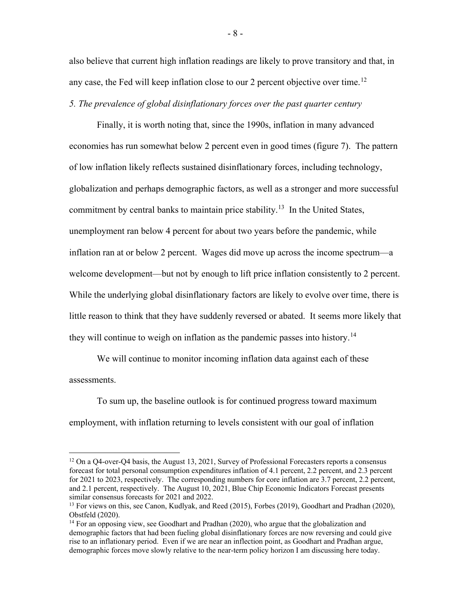also believe that current high inflation readings are likely to prove transitory and that, in any case, the Fed will keep inflation close to our 2 percent objective over time.<sup>[12](#page-8-0)</sup> *5. The prevalence of global disinflationary forces over the past quarter century*

Finally, it is worth noting that, since the 1990s, inflation in many advanced economies has run somewhat below 2 percent even in good times (figure 7). The pattern of low inflation likely reflects sustained disinflationary forces, including technology, globalization and perhaps demographic factors, as well as a stronger and more successful commitment by central banks to maintain price stability.<sup>[13](#page-8-1)</sup> In the United States, unemployment ran below 4 percent for about two years before the pandemic, while inflation ran at or below 2 percent. Wages did move up across the income spectrum—a welcome development—but not by enough to lift price inflation consistently to 2 percent. While the underlying global disinflationary factors are likely to evolve over time, there is little reason to think that they have suddenly reversed or abated. It seems more likely that they will continue to weigh on inflation as the pandemic passes into history.<sup>[14](#page-8-2)</sup>

We will continue to monitor incoming inflation data against each of these assessments.

To sum up, the baseline outlook is for continued progress toward maximum employment, with inflation returning to levels consistent with our goal of inflation

<span id="page-8-0"></span> $12$  On a Q4-over-Q4 basis, the August 13, 2021, Survey of Professional Forecasters reports a consensus forecast for total personal consumption expenditures inflation of 4.1 percent, 2.2 percent, and 2.3 percent for 2021 to 2023, respectively. The corresponding numbers for core inflation are 3.7 percent, 2.2 percent, and 2.1 percent, respectively. The August 10, 2021, Blue Chip Economic Indicators Forecast presents similar consensus forecasts for 2021 and 2022.

<span id="page-8-1"></span><sup>&</sup>lt;sup>13</sup> For views on this, see Canon, Kudlyak, and Reed (2015), Forbes (2019), Goodhart and Pradhan (2020), Obstfeld (2020).

<span id="page-8-2"></span> $14$  For an opposing view, see Goodhart and Pradhan (2020), who argue that the globalization and demographic factors that had been fueling global disinflationary forces are now reversing and could give rise to an inflationary period. Even if we are near an inflection point, as Goodhart and Pradhan argue, demographic forces move slowly relative to the near-term policy horizon I am discussing here today.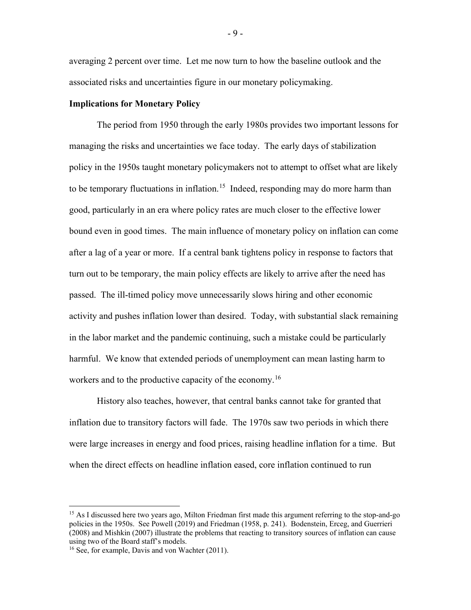averaging 2 percent over time. Let me now turn to how the baseline outlook and the associated risks and uncertainties figure in our monetary policymaking.

### **Implications for Monetary Policy**

The period from 1950 through the early 1980s provides two important lessons for managing the risks and uncertainties we face today. The early days of stabilization policy in the 1950s taught monetary policymakers not to attempt to offset what are likely to be temporary fluctuations in inflation.<sup>[15](#page-9-0)</sup> Indeed, responding may do more harm than good, particularly in an era where policy rates are much closer to the effective lower bound even in good times. The main influence of monetary policy on inflation can come after a lag of a year or more. If a central bank tightens policy in response to factors that turn out to be temporary, the main policy effects are likely to arrive after the need has passed. The ill-timed policy move unnecessarily slows hiring and other economic activity and pushes inflation lower than desired. Today, with substantial slack remaining in the labor market and the pandemic continuing, such a mistake could be particularly harmful. We know that extended periods of unemployment can mean lasting harm to workers and to the productive capacity of the economy.<sup>[16](#page-9-1)</sup>

History also teaches, however, that central banks cannot take for granted that inflation due to transitory factors will fade. The 1970s saw two periods in which there were large increases in energy and food prices, raising headline inflation for a time. But when the direct effects on headline inflation eased, core inflation continued to run

<span id="page-9-0"></span><sup>&</sup>lt;sup>15</sup> As I discussed here two years ago, Milton Friedman first made this argument referring to the stop-and-go policies in the 1950s. See Powell (2019) and Friedman (1958, p. 241). Bodenstein, Erceg, and Guerrieri (2008) and Mishkin (2007) illustrate the problems that reacting to transitory sources of inflation can cause

<span id="page-9-1"></span> $16$  See, for example, Davis and von Wachter (2011).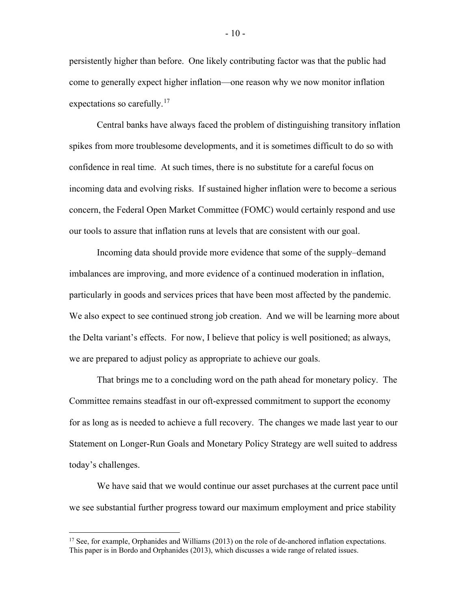persistently higher than before. One likely contributing factor was that the public had come to generally expect higher inflation—one reason why we now monitor inflation expectations so carefully.<sup>[17](#page-10-0)</sup>

Central banks have always faced the problem of distinguishing transitory inflation spikes from more troublesome developments, and it is sometimes difficult to do so with confidence in real time. At such times, there is no substitute for a careful focus on incoming data and evolving risks. If sustained higher inflation were to become a serious concern, the Federal Open Market Committee (FOMC) would certainly respond and use our tools to assure that inflation runs at levels that are consistent with our goal.

Incoming data should provide more evidence that some of the supply–demand imbalances are improving, and more evidence of a continued moderation in inflation, particularly in goods and services prices that have been most affected by the pandemic. We also expect to see continued strong job creation. And we will be learning more about the Delta variant's effects. For now, I believe that policy is well positioned; as always, we are prepared to adjust policy as appropriate to achieve our goals.

That brings me to a concluding word on the path ahead for monetary policy. The Committee remains steadfast in our oft-expressed commitment to support the economy for as long as is needed to achieve a full recovery. The changes we made last year to our Statement on Longer-Run Goals and Monetary Policy Strategy are well suited to address today's challenges.

We have said that we would continue our asset purchases at the current pace until we see substantial further progress toward our maximum employment and price stability

- 10 -

<span id="page-10-0"></span><sup>&</sup>lt;sup>17</sup> See, for example, Orphanides and Williams (2013) on the role of de-anchored inflation expectations. This paper is in Bordo and Orphanides (2013), which discusses a wide range of related issues.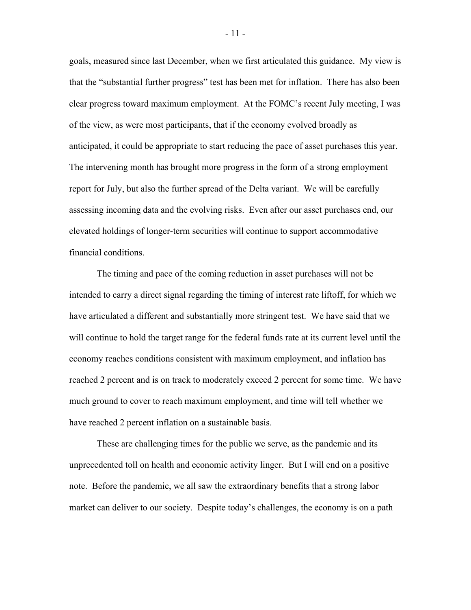goals, measured since last December, when we first articulated this guidance. My view is that the "substantial further progress" test has been met for inflation. There has also been clear progress toward maximum employment. At the FOMC's recent July meeting, I was of the view, as were most participants, that if the economy evolved broadly as anticipated, it could be appropriate to start reducing the pace of asset purchases this year. The intervening month has brought more progress in the form of a strong employment report for July, but also the further spread of the Delta variant. We will be carefully assessing incoming data and the evolving risks. Even after our asset purchases end, our elevated holdings of longer-term securities will continue to support accommodative financial conditions.

The timing and pace of the coming reduction in asset purchases will not be intended to carry a direct signal regarding the timing of interest rate liftoff, for which we have articulated a different and substantially more stringent test. We have said that we will continue to hold the target range for the federal funds rate at its current level until the economy reaches conditions consistent with maximum employment, and inflation has reached 2 percent and is on track to moderately exceed 2 percent for some time. We have much ground to cover to reach maximum employment, and time will tell whether we have reached 2 percent inflation on a sustainable basis.

These are challenging times for the public we serve, as the pandemic and its unprecedented toll on health and economic activity linger. But I will end on a positive note. Before the pandemic, we all saw the extraordinary benefits that a strong labor market can deliver to our society. Despite today's challenges, the economy is on a path

- 11 -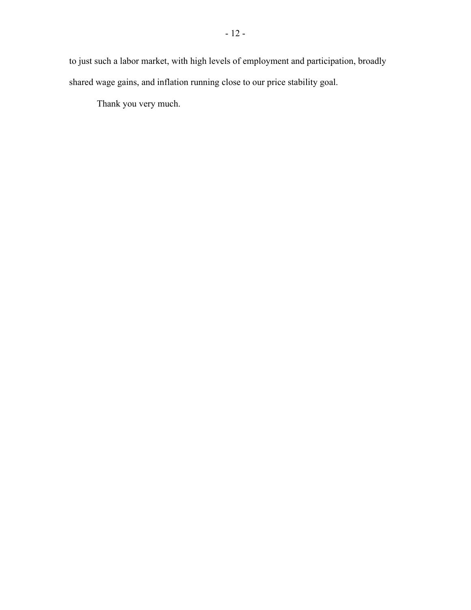to just such a labor market, with high levels of employment and participation, broadly shared wage gains, and inflation running close to our price stability goal.

Thank you very much.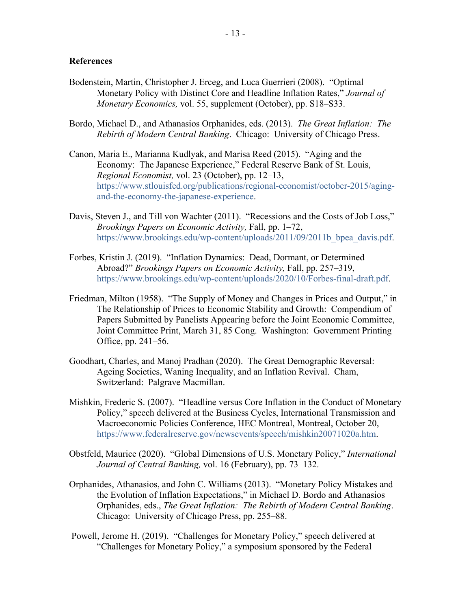### **References**

- Bodenstein, Martin, Christopher J. Erceg, and Luca Guerrieri (2008). "Optimal Monetary Policy with Distinct Core and Headline Inflation Rates," *Journal of Monetary Economics,* vol. 55, supplement (October), pp. S18–S33.
- Bordo, Michael D., and Athanasios Orphanides, eds. (2013). *The Great Inflation: The Rebirth of Modern Central Banking*. Chicago: University of Chicago Press.
- Canon, Maria E., Marianna Kudlyak, and Marisa Reed (2015). "Aging and the Economy: The Japanese Experience," Federal Reserve Bank of St. Louis, *Regional Economist,* vol. 23 (October), pp. 12–13, [https://www.stlouisfed.org/publications/regional-economist/october-2015/aging](https://www.stlouisfed.org/publications/regional-economist/october-2015/aging-and-the-economy-the-japanese-experience)[and-the-economy-the-japanese-experience.](https://www.stlouisfed.org/publications/regional-economist/october-2015/aging-and-the-economy-the-japanese-experience)
- Davis, Steven J., and Till von Wachter (2011). "Recessions and the Costs of Job Loss," *Brookings Papers on Economic Activity,* Fall, pp. 1–72, https://www.brookings.edu/wp-content/uploads/2011/09/2011b bpea davis.pdf.
- Forbes, Kristin J. (2019). "Inflation Dynamics: Dead, Dormant, or Determined Abroad?" *Brookings Papers on Economic Activity,* Fall, pp. 257–319, [https://www.brookings.edu/wp-content/uploads/2020/10/Forbes-final-draft.pdf.](https://www.brookings.edu/wp-content/uploads/2020/10/Forbes-final-draft.pdf)
- Friedman, Milton (1958). "The Supply of Money and Changes in Prices and Output," in The Relationship of Prices to Economic Stability and Growth: Compendium of Papers Submitted by Panelists Appearing before the Joint Economic Committee, Joint Committee Print, March 31, 85 Cong. Washington: Government Printing Office, pp. 241–56.
- Goodhart, Charles, and Manoj Pradhan (2020). The Great Demographic Reversal: Ageing Societies, Waning Inequality, and an Inflation Revival. Cham, Switzerland: Palgrave Macmillan.
- Mishkin, Frederic S. (2007). "Headline versus Core Inflation in the Conduct of Monetary Policy," speech delivered at the Business Cycles, International Transmission and Macroeconomic Policies Conference, HEC Montreal, Montreal, October 20, [https://www.federalreserve.gov/newsevents/speech/mishkin20071020a.htm.](https://www.federalreserve.gov/newsevents/speech/mishkin20071020a.htm)
- Obstfeld, Maurice (2020). "Global Dimensions of U.S. Monetary Policy," *International Journal of Central Banking,* vol. 16 (February), pp. 73–132.
- Orphanides, Athanasios, and John C. Williams (2013). "Monetary Policy Mistakes and the Evolution of Inflation Expectations," in Michael D. Bordo and Athanasios Orphanides, eds., *The Great Inflation: The Rebirth of Modern Central Banking*. Chicago: University of Chicago Press, pp. 255–88.
- Powell, Jerome H. (2019). "Challenges for Monetary Policy," speech delivered at "Challenges for Monetary Policy," a symposium sponsored by the Federal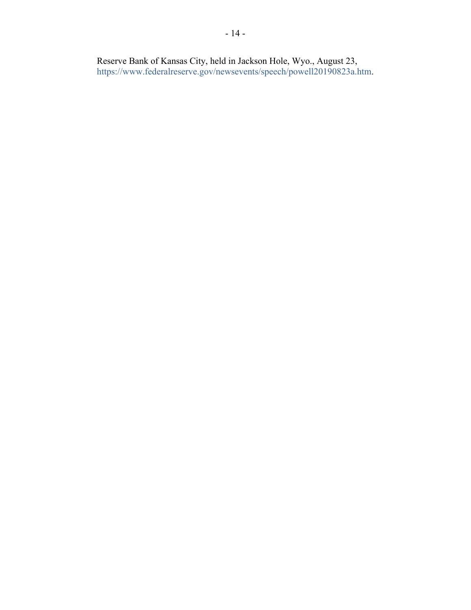Reserve Bank of Kansas City, held in Jackson Hole, Wyo., August 23, [https://www.federalreserve.gov/newsevents/speech/powell20190823a.htm.](https://www.federalreserve.gov/newsevents/speech/powell20190823a.htm)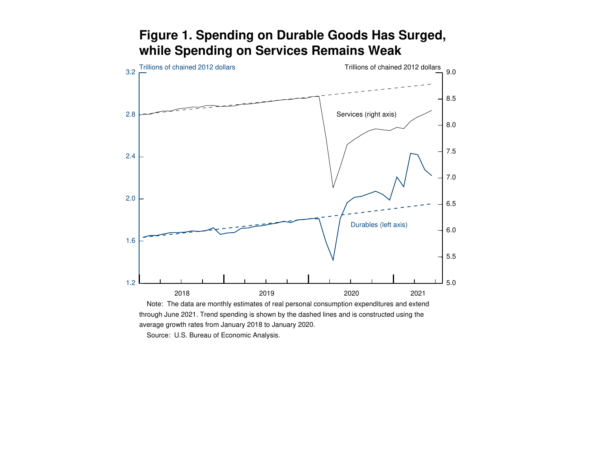

# **Figure 1. Spending on Durable Goods Has Surged,while Spending on Services Remains Weak**

 Source: U.S. Bureau of Economic Analysis.average growth rates from January 2018 to January 2020.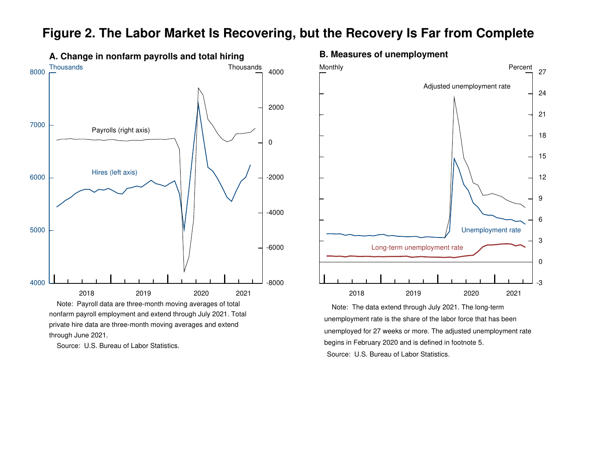

### **Figure 2. The Labor Market Is Recovering, but the Recovery Is Far from Complete**

nonfarm payroll employment and extend through July 2021. Totalprivate hire data are three-month moving averages and extendthrough June 2021.

Source: U.S. Bureau of Labor Statistics.

### **B. Measures of unemployment**



 Source: U.S. Bureau of Labor Statistics. Note: The data extend through July 2021. The long-term unemployment rate is the share of the labor force that has beenunemployed for 27 weeks or more. The adjusted unemployment ratebegins in February 2020 and is defined in footnote 5.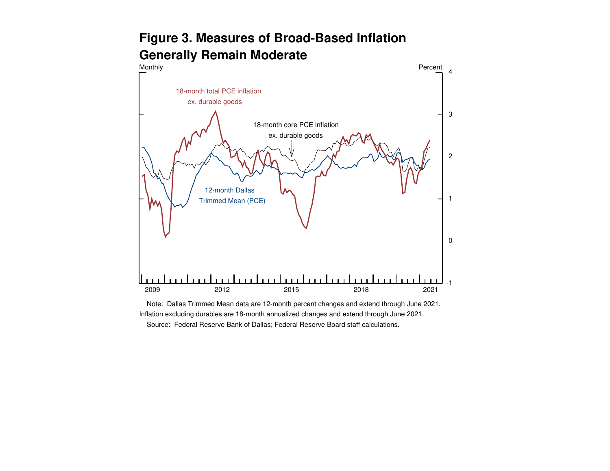# **Figure 3. Measures of Broad-Based InflationGenerally Remain Moderate**



 Note: Dallas Trimmed Mean data are 12-month percent changes and extend through June 2021.Inflation excluding durables are 18-month annualized changes and extend through June 2021.Source: Federal Reserve Bank of Dallas; Federal Reserve Board staff calculations.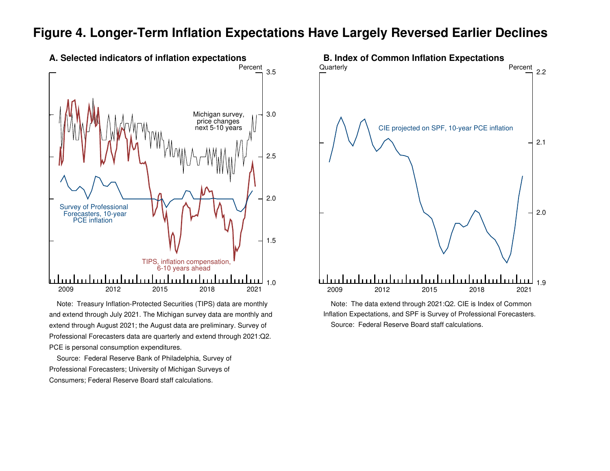### **Figure 4. Longer-Term Inflation Expectations Have Largely Reversed Earlier Declines**



 Note: Treasury Inflation-Protected Securities (TIPS) data are monthlyand extend through July 2021. The Michigan survey data are monthly andextend through August 2021; the August data are preliminary. Survey ofProfessional Forecasters data are quarterly and extend through 2021:Q2.PCE is personal consumption expenditures.

 Source: Federal Reserve Bank of Philadelphia, Survey ofProfessional Forecasters; University of Michigan Surveys ofConsumers; Federal Reserve Board staff calculations.



 Note: The data extend through 2021:Q2. CIE is Index of Common Inflation Expectations, and SPF is Survey of Professional Forecasters.Source: Federal Reserve Board staff calculations.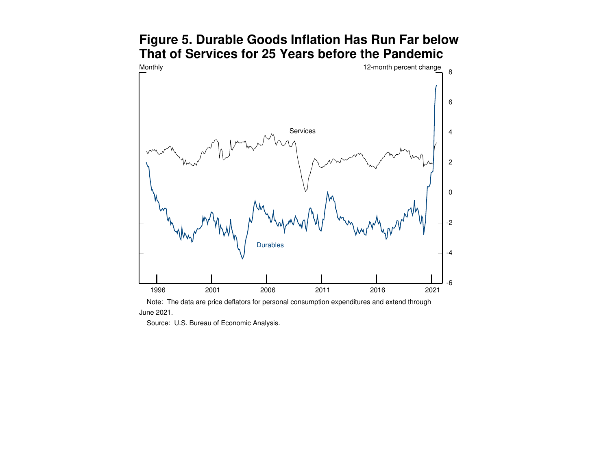### **Figure 5. Durable Goods Inflation Has Run Far belowThat of Services for 25 Years before the Pandemic**

![](_page_19_Figure_1.jpeg)

 Note: The data are price deflators for personal consumption expenditures and extend throughJune 2021.

Source: U.S. Bureau of Economic Analysis.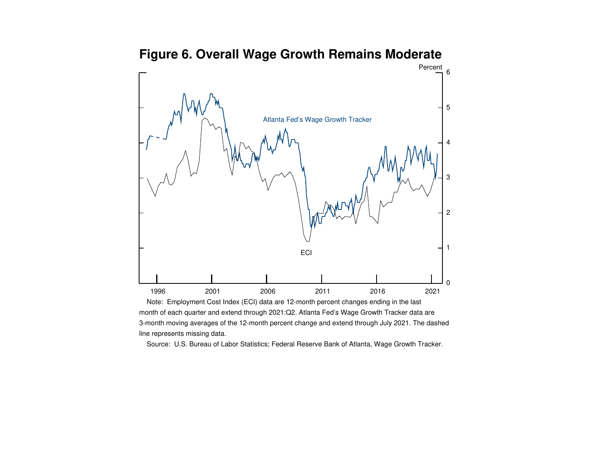![](_page_20_Figure_0.jpeg)

# **Figure 6. Overall Wage Growth Remains Moderate**

 Note: Employment Cost Index (ECI) data are 12-month percent changes ending in the lastmonth of each quarter and extend through 2021:Q2. Atlanta Fed's Wage Growth Tracker data are 3-month moving averages of the 12-month percent change and extend through July 2021. The dashedline represents missing data.

Source: U.S. Bureau of Labor Statistics; Federal Reserve Bank of Atlanta, Wage Growth Tracker.